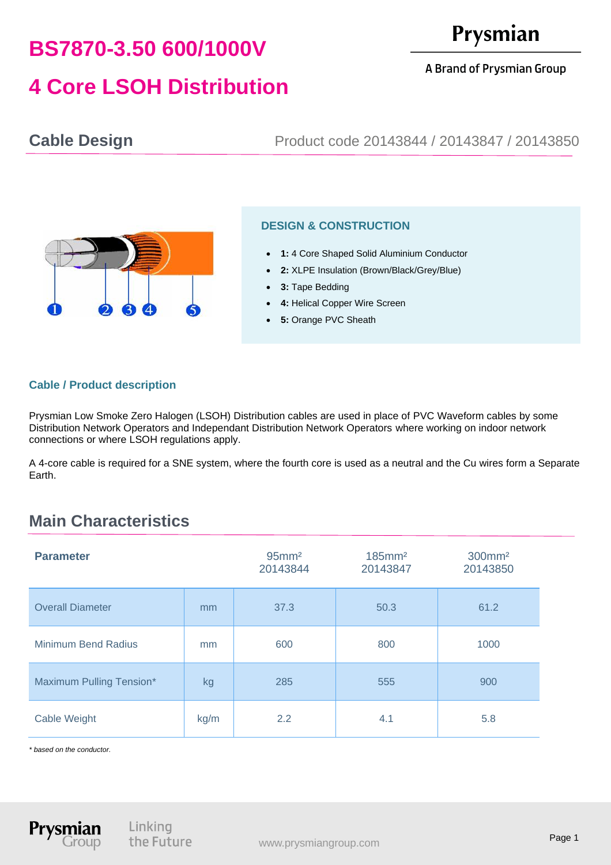# **BS7870-3.50 600/1000V**

**4 Core LSOH Distribution**

# Prysmian

#### A Brand of Prysmian Group

### **Cable Design** Product code 20143844 / 20143847 / 20143850



#### **DESIGN & CONSTRUCTION**

- **1:** 4 Core Shaped Solid Aluminium Conductor
- **2:** XLPE Insulation (Brown/Black/Grey/Blue)
- **3:** Tape Bedding
- **4: Helical Copper Wire Screen**
- **5:** Orange PVC Sheath

#### **Cable / Product description**

Prysmian Low Smoke Zero Halogen (LSOH) Distribution cables are used in place of PVC Waveform cables by some Distribution Network Operators and Independant Distribution Network Operators where working on indoor network connections or where LSOH regulations apply.

A 4-core cable is required for a SNE system, where the fourth core is used as a neutral and the Cu wires form a Separate Earth.

## **Main Characteristics**

| <b>Parameter</b>           |      | $95$ mm <sup>2</sup><br>20143844 | $185$ mm <sup>2</sup><br>20143847 | 300mm <sup>2</sup><br>20143850 |
|----------------------------|------|----------------------------------|-----------------------------------|--------------------------------|
| <b>Overall Diameter</b>    | mm   | 37.3                             | 50.3                              | 61.2                           |
| <b>Minimum Bend Radius</b> | mm   | 600                              | 800                               | 1000                           |
| Maximum Pulling Tension*   | kg   | 285                              | 555                               | 900                            |
| Cable Weight               | kg/m | 2.2                              | 4.1                               | 5.8                            |

*\* based on the conductor.*